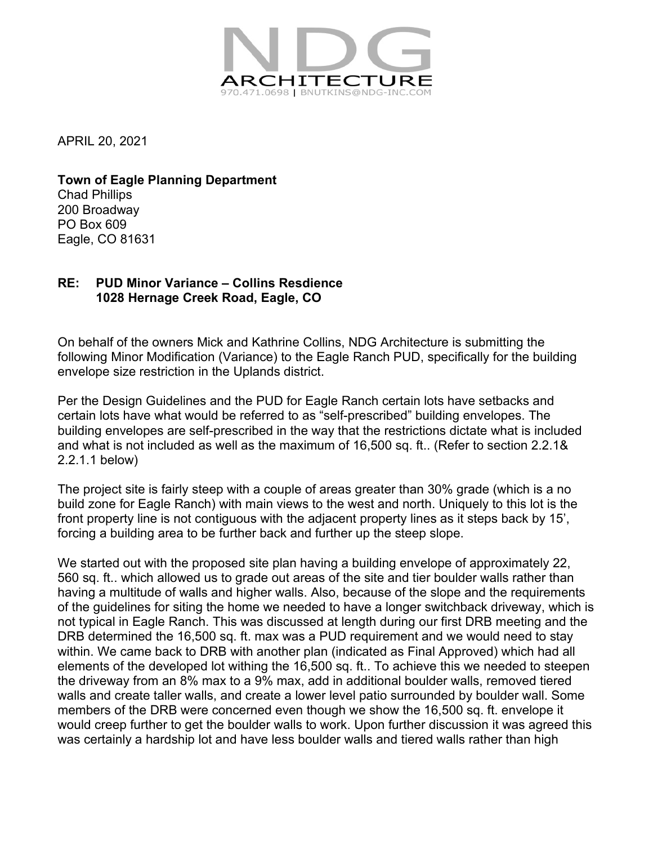

APRIL 20, 2021

**Town of Eagle Planning Department** Chad Phillips 200 Broadway PO Box 609 Eagle, CO 81631

## **RE: PUD Minor Variance – Collins Resdience 1028 Hernage Creek Road, Eagle, CO**

On behalf of the owners Mick and Kathrine Collins, NDG Architecture is submitting the following Minor Modification (Variance) to the Eagle Ranch PUD, specifically for the building envelope size restriction in the Uplands district.

Per the Design Guidelines and the PUD for Eagle Ranch certain lots have setbacks and certain lots have what would be referred to as "self-prescribed" building envelopes. The building envelopes are self-prescribed in the way that the restrictions dictate what is included and what is not included as well as the maximum of 16,500 sq. ft.. (Refer to section 2.2.1& 2.2.1.1 below)

The project site is fairly steep with a couple of areas greater than 30% grade (which is a no build zone for Eagle Ranch) with main views to the west and north. Uniquely to this lot is the front property line is not contiguous with the adjacent property lines as it steps back by 15', forcing a building area to be further back and further up the steep slope.

We started out with the proposed site plan having a building envelope of approximately 22, 560 sq. ft.. which allowed us to grade out areas of the site and tier boulder walls rather than having a multitude of walls and higher walls. Also, because of the slope and the requirements of the guidelines for siting the home we needed to have a longer switchback driveway, which is not typical in Eagle Ranch. This was discussed at length during our first DRB meeting and the DRB determined the 16,500 sq. ft. max was a PUD requirement and we would need to stay within. We came back to DRB with another plan (indicated as Final Approved) which had all elements of the developed lot withing the 16,500 sq. ft.. To achieve this we needed to steepen the driveway from an 8% max to a 9% max, add in additional boulder walls, removed tiered walls and create taller walls, and create a lower level patio surrounded by boulder wall. Some members of the DRB were concerned even though we show the 16,500 sq. ft. envelope it would creep further to get the boulder walls to work. Upon further discussion it was agreed this was certainly a hardship lot and have less boulder walls and tiered walls rather than high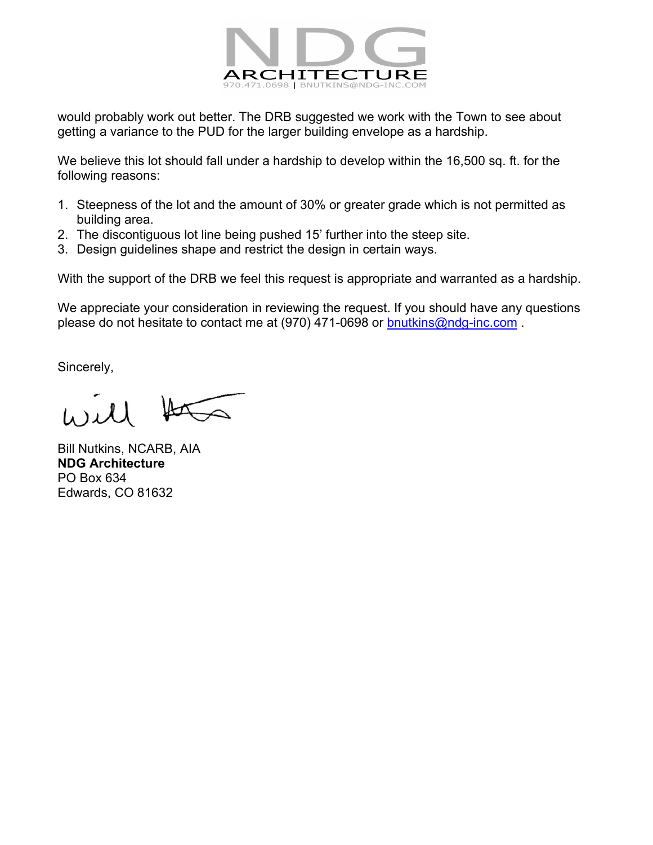

would probably work out better. The DRB suggested we work with the Town to see about getting a variance to the PUD for the larger building envelope as a hardship.

We believe this lot should fall under a hardship to develop within the 16,500 sq. ft. for the following reasons:

- 1. Steepness of the lot and the amount of 30% or greater grade which is not permitted as building area.
- 2. The discontiguous lot line being pushed 15' further into the steep site.
- 3. Design guidelines shape and restrict the design in certain ways.

With the support of the DRB we feel this request is appropriate and warranted as a hardship.

We appreciate your consideration in reviewing the request. If you should have any questions please do not hesitate to contact me at (970) 471-0698 or [bnutkins@ndg-inc.com](mailto:bnutkins@ndg-inc.com).

Sincerely,

Bill Nutkins, NCARB, AIA **NDG Architecture** PO Box 634 Edwards, CO 81632